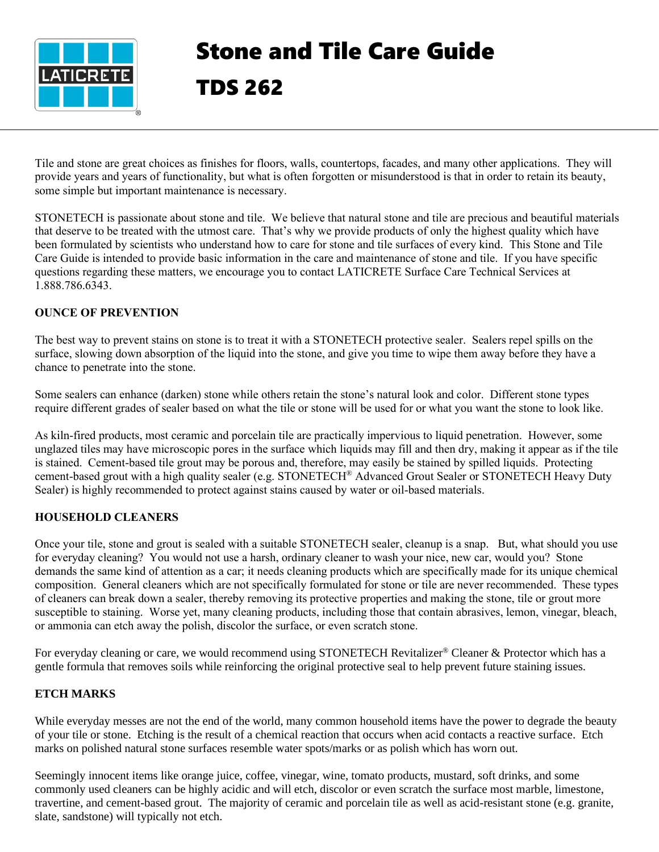

# Stone and Tile Care Guide TDS 262

Tile and stone are great choices as finishes for floors, walls, countertops, facades, and many other applications. They will provide years and years of functionality, but what is often forgotten or misunderstood is that in order to retain its beauty, some simple but important maintenance is necessary.

STONETECH is passionate about stone and tile. We believe that natural stone and tile are precious and beautiful materials that deserve to be treated with the utmost care. That's why we provide products of only the highest quality which have been formulated by scientists who understand how to care for stone and tile surfaces of every kind. This Stone and Tile Care Guide is intended to provide basic information in the care and maintenance of stone and tile. If you have specific questions regarding these matters, we encourage you to contact LATICRETE Surface Care Technical Services at 1.888.786.6343.

# **OUNCE OF PREVENTION**

The best way to prevent stains on stone is to treat it with a STONETECH protective sealer. Sealers repel spills on the surface, slowing down absorption of the liquid into the stone, and give you time to wipe them away before they have a chance to penetrate into the stone.

Some sealers can enhance (darken) stone while others retain the stone's natural look and color. Different stone types require different grades of sealer based on what the tile or stone will be used for or what you want the stone to look like.

As kiln-fired products, most ceramic and porcelain tile are practically impervious to liquid penetration. However, some unglazed tiles may have microscopic pores in the surface which liquids may fill and then dry, making it appear as if the tile is stained. Cement-based tile grout may be porous and, therefore, may easily be stained by spilled liquids. Protecting cement-based grout with a high quality sealer (e.g. STONETECH® Advanced Grout Sealer or STONETECH Heavy Duty Sealer) is highly recommended to protect against stains caused by water or oil-based materials.

# **HOUSEHOLD CLEANERS**

Once your tile, stone and grout is sealed with a suitable STONETECH sealer, cleanup is a snap. But, what should you use for everyday cleaning? You would not use a harsh, ordinary cleaner to wash your nice, new car, would you? Stone demands the same kind of attention as a car; it needs cleaning products which are specifically made for its unique chemical composition. General cleaners which are not specifically formulated for stone or tile are never recommended. These types of cleaners can break down a sealer, thereby removing its protective properties and making the stone, tile or grout more susceptible to staining. Worse yet, many cleaning products, including those that contain abrasives, lemon, vinegar, bleach, or ammonia can etch away the polish, discolor the surface, or even scratch stone.

For everyday cleaning or care, we would recommend using STONETECH Revitalizer<sup>®</sup> Cleaner & Protector which has a gentle formula that removes soils while reinforcing the original protective seal to help prevent future staining issues.

# **ETCH MARKS**

While everyday messes are not the end of the world, many common household items have the power to degrade the beauty of your tile or stone. Etching is the result of a chemical reaction that occurs when acid contacts a reactive surface. Etch marks on polished natural stone surfaces resemble water spots/marks or as polish which has worn out.

Seemingly innocent items like orange juice, coffee, vinegar, wine, tomato products, mustard, soft drinks, and some commonly used cleaners can be highly acidic and will etch, discolor or even scratch the surface most marble, limestone, travertine, and cement-based grout. The majority of ceramic and porcelain tile as well as acid-resistant stone (e.g. granite, slate, sandstone) will typically not etch.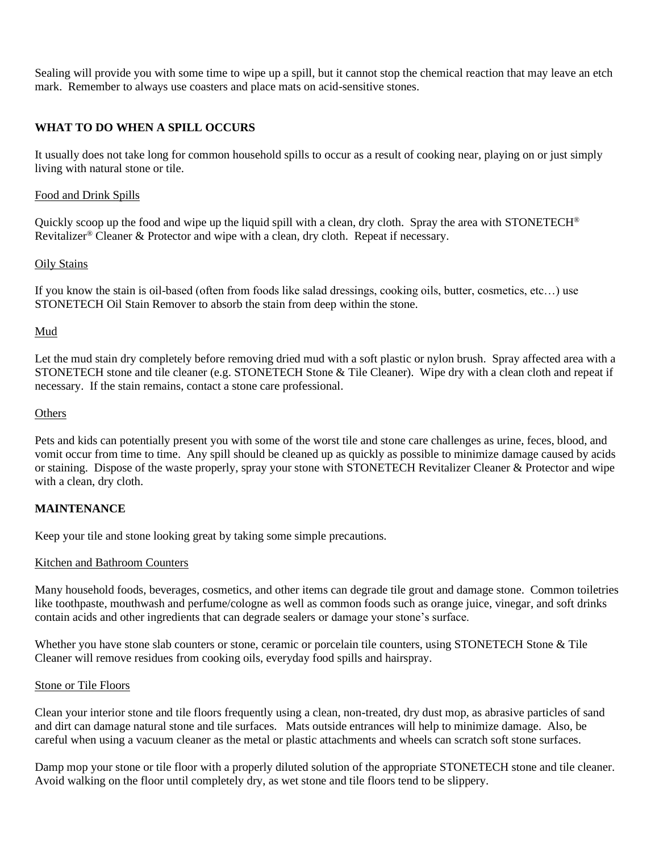Sealing will provide you with some time to wipe up a spill, but it cannot stop the chemical reaction that may leave an etch mark. Remember to always use coasters and place mats on acid-sensitive stones.

# **WHAT TO DO WHEN A SPILL OCCURS**

It usually does not take long for common household spills to occur as a result of cooking near, playing on or just simply living with natural stone or tile.

#### Food and Drink Spills

Quickly scoop up the food and wipe up the liquid spill with a clean, dry cloth. Spray the area with STONETECH<sup>®</sup> Revitalizer<sup>®</sup> Cleaner & Protector and wipe with a clean, dry cloth. Repeat if necessary.

## Oily Stains

If you know the stain is oil-based (often from foods like salad dressings, cooking oils, butter, cosmetics, etc…) use STONETECH Oil Stain Remover to absorb the stain from deep within the stone.

#### Mud

Let the mud stain dry completely before removing dried mud with a soft plastic or nylon brush. Spray affected area with a STONETECH stone and tile cleaner (e.g. STONETECH Stone & Tile Cleaner). Wipe dry with a clean cloth and repeat if necessary. If the stain remains, contact a stone care professional.

#### **Others**

Pets and kids can potentially present you with some of the worst tile and stone care challenges as urine, feces, blood, and vomit occur from time to time. Any spill should be cleaned up as quickly as possible to minimize damage caused by acids or staining. Dispose of the waste properly, spray your stone with STONETECH Revitalizer Cleaner & Protector and wipe with a clean, dry cloth.

## **MAINTENANCE**

Keep your tile and stone looking great by taking some simple precautions.

## Kitchen and Bathroom Counters

Many household foods, beverages, cosmetics, and other items can degrade tile grout and damage stone. Common toiletries like toothpaste, mouthwash and perfume/cologne as well as common foods such as orange juice, vinegar, and soft drinks contain acids and other ingredients that can degrade sealers or damage your stone's surface.

Whether you have stone slab counters or stone, ceramic or porcelain tile counters, using STONETECH Stone & Tile Cleaner will remove residues from cooking oils, everyday food spills and hairspray.

#### Stone or Tile Floors

Clean your interior stone and tile floors frequently using a clean, non-treated, dry dust mop, as abrasive particles of sand and dirt can damage natural stone and tile surfaces. Mats outside entrances will help to minimize damage. Also, be careful when using a vacuum cleaner as the metal or plastic attachments and wheels can scratch soft stone surfaces.

Damp mop your stone or tile floor with a properly diluted solution of the appropriate STONETECH stone and tile cleaner. Avoid walking on the floor until completely dry, as wet stone and tile floors tend to be slippery.